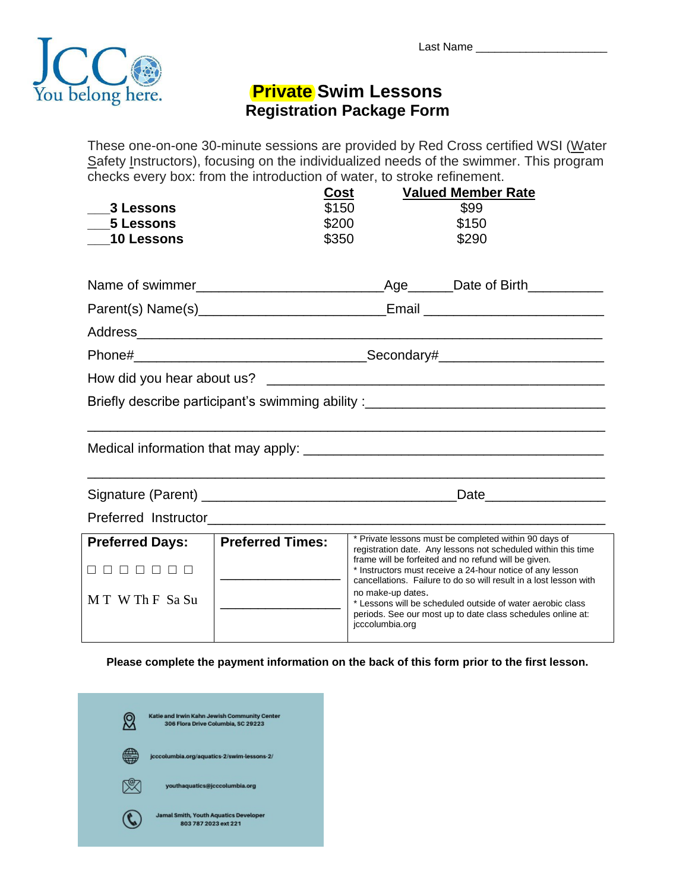

## **Private Swim Lessons Registration Package Form**

These one-on-one 30-minute sessions are provided by Red Cross certified WSI (Water Safety Instructors), focusing on the individualized needs of the swimmer. This program checks every box: from the introduction of water, to stroke refinement.

| 3 Lessons<br>5 Lessons<br><b>10 Lessons</b>                                      | Cost<br>\$200<br>\$350  | \$150                                | <b>Valued Member Rate</b><br>\$99<br>\$150<br>\$290                                                                                                                                                                                                                                                                                                                                                                                           |  |  |
|----------------------------------------------------------------------------------|-------------------------|--------------------------------------|-----------------------------------------------------------------------------------------------------------------------------------------------------------------------------------------------------------------------------------------------------------------------------------------------------------------------------------------------------------------------------------------------------------------------------------------------|--|--|
|                                                                                  |                         |                                      |                                                                                                                                                                                                                                                                                                                                                                                                                                               |  |  |
|                                                                                  |                         |                                      |                                                                                                                                                                                                                                                                                                                                                                                                                                               |  |  |
|                                                                                  |                         |                                      |                                                                                                                                                                                                                                                                                                                                                                                                                                               |  |  |
|                                                                                  |                         |                                      |                                                                                                                                                                                                                                                                                                                                                                                                                                               |  |  |
|                                                                                  |                         |                                      |                                                                                                                                                                                                                                                                                                                                                                                                                                               |  |  |
| Briefly describe participant's swimming ability :_______________________________ |                         |                                      |                                                                                                                                                                                                                                                                                                                                                                                                                                               |  |  |
|                                                                                  |                         |                                      |                                                                                                                                                                                                                                                                                                                                                                                                                                               |  |  |
|                                                                                  |                         |                                      |                                                                                                                                                                                                                                                                                                                                                                                                                                               |  |  |
|                                                                                  |                         |                                      |                                                                                                                                                                                                                                                                                                                                                                                                                                               |  |  |
| <b>Preferred Days:</b><br>8 8 8 8 8 8 8<br>MT W Th F Sa Su                       | <b>Preferred Times:</b> | no make-up dates.<br>jcccolumbia.org | * Private lessons must be completed within 90 days of<br>registration date. Any lessons not scheduled within this time<br>frame will be forfeited and no refund will be given.<br>* Instructors must receive a 24-hour notice of any lesson<br>cancellations. Failure to do so will result in a lost lesson with<br>* Lessons will be scheduled outside of water aerobic class<br>periods. See our most up to date class schedules online at: |  |  |

**Please complete the payment information on the back of this form prior to the first lesson.**

| Katie and Irwin Kahn Jewish Community Center<br>306 Flora Drive Columbia, SC 29223 |
|------------------------------------------------------------------------------------|
| jcccolumbia.org/aquatics-2/swim-lessons-2/                                         |
| youthaquatics@jcccolumbia.org                                                      |
| <b>Jamal Smith, Youth Aquatics Developer</b><br>803 787 2023 ext 221               |